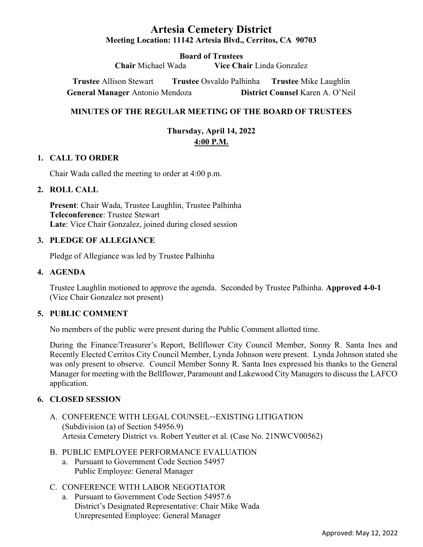# Artesia Cemetery District Meeting Location: 11142 Artesia Blvd., Cerritos, CA 90703

**Board of Trustees**<br>Chair Michael Wada **Vice Changes** Vice Chair Linda Gonzalez

Trustee Allison Stewart Trustee Osvaldo Palhinha Trustee Mike Laughlin General Manager Antonio Mendoza District Counsel Karen A. O'Neil

# MINUTES OF THE REGULAR MEETING OF THE BOARD OF TRUSTEES

Thursday, April 14, 2022 4:00 P.M.

### 1. CALL TO ORDER

Chair Wada called the meeting to order at 4:00 p.m.

### 2. ROLL CALL

Present: Chair Wada, Trustee Laughlin, Trustee Palhinha Teleconference: Trustee Stewart Late: Vice Chair Gonzalez, joined during closed session

### 3. PLEDGE OF ALLEGIANCE

Pledge of Allegiance was led by Trustee Palhinha

#### 4. AGENDA

Trustee Laughlin motioned to approve the agenda. Seconded by Trustee Palhinha. Approved 4-0-1 (Vice Chair Gonzalez not present)

#### 5. PUBLIC COMMENT

No members of the public were present during the Public Comment allotted time.

During the Finance/Treasurer's Report, Bellflower City Council Member, Sonny R. Santa Ines and Recently Elected Cerritos City Council Member, Lynda Johnson were present. Lynda Johnson stated she was only present to observe. Council Member Sonny R. Santa Ines expressed his thanks to the General Manager for meeting with the Bellflower, Paramount and Lakewood City Managers to discuss the LAFCO application.

#### 6. CLOSED SESSION

- A. CONFERENCE WITH LEGAL COUNSEL--EXISTING LITIGATION (Subdivision (a) of Section 54956.9) Artesia Cemetery District vs. Robert Yeutter et al. (Case No. 21NWCV00562)
- B. PUBLIC EMPLOYEE PERFORMANCE EVALUATION
	- a. Pursuant to Government Code Section 54957 Public Employee: General Manager

#### C. CONFERENCE WITH LABOR NEGOTIATOR

a. Pursuant to Government Code Section 54957.6 District's Designated Representative: Chair Mike Wada Unrepresented Employee: General Manager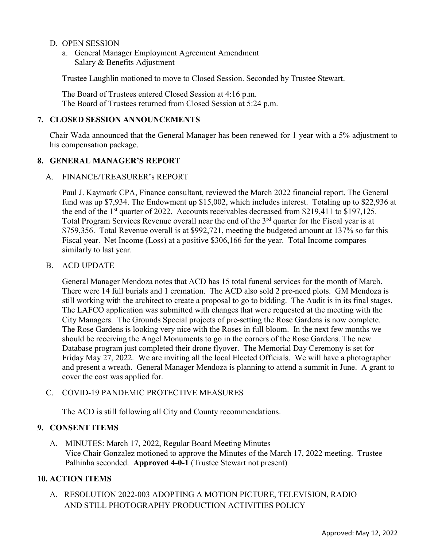- D. OPEN SESSION
	- a. General Manager Employment Agreement Amendment Salary & Benefits Adjustment

Trustee Laughlin motioned to move to Closed Session. Seconded by Trustee Stewart.

The Board of Trustees entered Closed Session at 4:16 p.m. The Board of Trustees returned from Closed Session at 5:24 p.m.

#### 7. CLOSED SESSION ANNOUNCEMENTS

Chair Wada announced that the General Manager has been renewed for 1 year with a 5% adjustment to his compensation package.

# 8. GENERAL MANAGER'S REPORT

A. FINANCE/TREASURER's REPORT

Paul J. Kaymark CPA, Finance consultant, reviewed the March 2022 financial report. The General fund was up \$7,934. The Endowment up \$15,002, which includes interest. Totaling up to \$22,936 at the end of the  $1<sup>st</sup>$  quarter of 2022. Accounts receivables decreased from \$219,411 to \$197,125. Total Program Services Revenue overall near the end of the 3<sup>rd</sup> quarter for the Fiscal year is at \$759,356. Total Revenue overall is at \$992,721, meeting the budgeted amount at 137% so far this Fiscal year. Net Income (Loss) at a positive \$306,166 for the year. Total Income compares similarly to last year.

#### B. ACD UPDATE

General Manager Mendoza notes that ACD has 15 total funeral services for the month of March. There were 14 full burials and 1 cremation. The ACD also sold 2 pre-need plots. GM Mendoza is still working with the architect to create a proposal to go to bidding. The Audit is in its final stages. The LAFCO application was submitted with changes that were requested at the meeting with the City Managers. The Grounds Special projects of pre-setting the Rose Gardens is now complete. The Rose Gardens is looking very nice with the Roses in full bloom. In the next few months we should be receiving the Angel Monuments to go in the corners of the Rose Gardens. The new Database program just completed their drone flyover. The Memorial Day Ceremony is set for Friday May 27, 2022. We are inviting all the local Elected Officials. We will have a photographer and present a wreath. General Manager Mendoza is planning to attend a summit in June. A grant to cover the cost was applied for.

#### C. COVID-19 PANDEMIC PROTECTIVE MEASURES

The ACD is still following all City and County recommendations.

# 9. CONSENT ITEMS

A. MINUTES: March 17, 2022, Regular Board Meeting Minutes Vice Chair Gonzalez motioned to approve the Minutes of the March 17, 2022 meeting. Trustee Palhinha seconded. Approved 4-0-1 (Trustee Stewart not present)

#### 10. ACTION ITEMS

A. RESOLUTION 2022-003 ADOPTING A MOTION PICTURE, TELEVISION, RADIO AND STILL PHOTOGRAPHY PRODUCTION ACTIVITIES POLICY